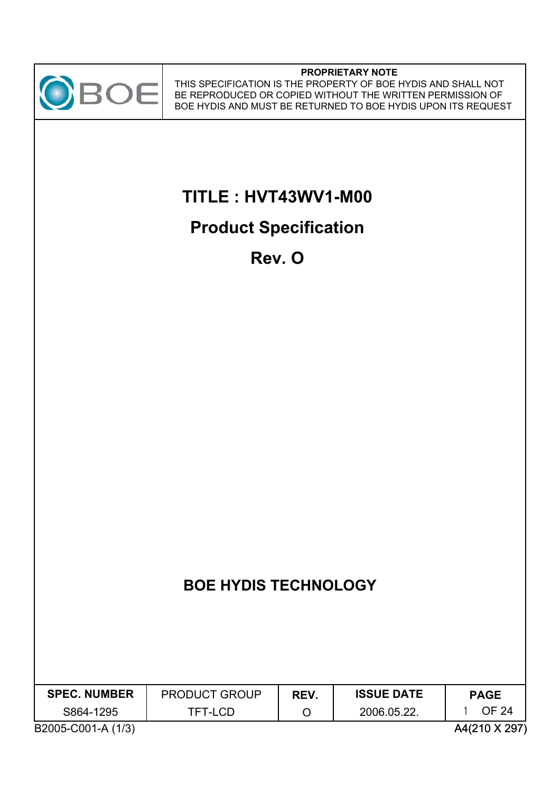

#### **PROPRIETARY NOTE**

THIS SPECIFICATION IS THE PROPERTY OF BOE HYDIS AND SHALL NOT BE REPRODUCED OR COPIED WITHOUT THE WRITTEN PERMISSION OF BOE HYDIS AND MUST BE RETURNED TO BOE HYDIS UPON ITS REQUEST

# **TITLE : HVT43WV1-M00**

# **Product Specification**

**Rev. O**

| <b>SPEC. NUMBER</b> | <b>PRODUCT GROUP</b> | REV. | <b>ISSUE DATE</b> | <b>PAGE</b> |
|---------------------|----------------------|------|-------------------|-------------|
| S864-1295           | TFT-LCD              |      | 2006.05.22.       | OF 24       |
| $R_{0}$             |                      |      |                   |             |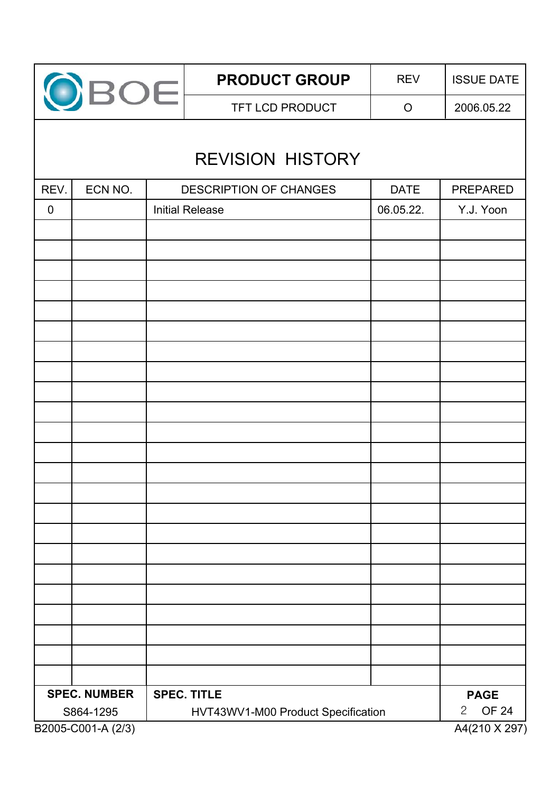|             | OBOE                | <b>PRODUCT GROUP</b>               | <b>REV</b>  | <b>ISSUE DATE</b> |
|-------------|---------------------|------------------------------------|-------------|-------------------|
|             |                     | TFT LCD PRODUCT                    | $\circ$     | 2006.05.22        |
|             |                     |                                    |             |                   |
|             |                     | <b>REVISION HISTORY</b>            |             |                   |
| REV.        | ECN NO.             | <b>DESCRIPTION OF CHANGES</b>      | <b>DATE</b> | <b>PREPARED</b>   |
| $\mathbf 0$ |                     | <b>Initial Release</b>             | 06.05.22.   | Y.J. Yoon         |
|             |                     |                                    |             |                   |
|             |                     |                                    |             |                   |
|             |                     |                                    |             |                   |
|             |                     |                                    |             |                   |
|             |                     |                                    |             |                   |
|             |                     |                                    |             |                   |
|             |                     |                                    |             |                   |
|             |                     |                                    |             |                   |
|             |                     |                                    |             |                   |
|             |                     |                                    |             |                   |
|             |                     |                                    |             |                   |
|             |                     |                                    |             |                   |
|             |                     |                                    |             |                   |
|             |                     |                                    |             |                   |
|             |                     |                                    |             |                   |
|             |                     |                                    |             |                   |
|             |                     |                                    |             |                   |
|             |                     |                                    |             |                   |
|             |                     |                                    |             |                   |
|             |                     |                                    |             |                   |
|             | <b>SPEC. NUMBER</b> | <b>SPEC. TITLE</b>                 |             | <b>PAGE</b>       |
|             | S864-1295           | HVT43WV1-M00 Product Specification |             | <b>OF 24</b><br>2 |
|             | B2005-C001-A (2/3)  |                                    |             | A4(210 X 297)     |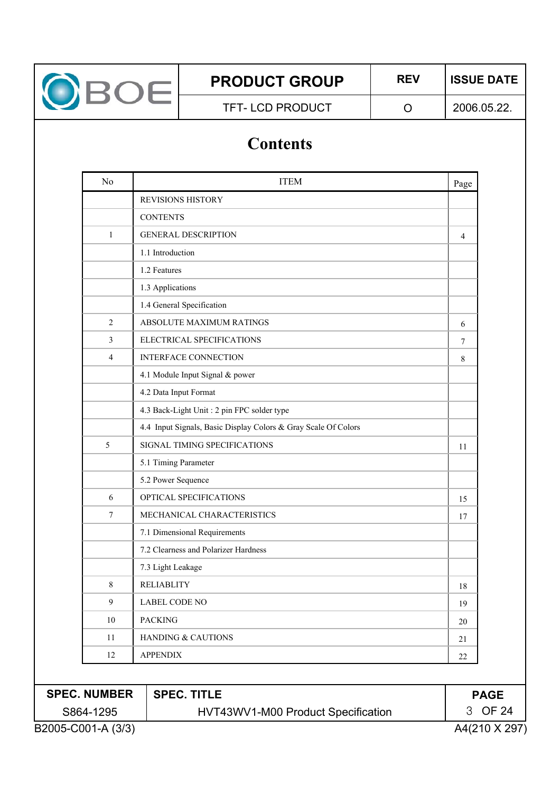

TFT-LCD PRODUCT | O

2006.05.22.

# **Contents**

| N <sub>0</sub> | <b>ITEM</b>                                                    | Page |
|----------------|----------------------------------------------------------------|------|
|                | REVISIONS HISTORY                                              |      |
|                | <b>CONTENTS</b>                                                |      |
| 1              | <b>GENERAL DESCRIPTION</b>                                     | 4    |
|                | 1.1 Introduction                                               |      |
|                | 1.2 Features                                                   |      |
|                | 1.3 Applications                                               |      |
|                | 1.4 General Specification                                      |      |
| $\overline{2}$ | <b>ABSOLUTE MAXIMUM RATINGS</b>                                | 6    |
| 3              | ELECTRICAL SPECIFICATIONS                                      | 7    |
| $\overline{4}$ | INTERFACE CONNECTION                                           | 8    |
|                | 4.1 Module Input Signal & power                                |      |
|                | 4.2 Data Input Format                                          |      |
|                | 4.3 Back-Light Unit : 2 pin FPC solder type                    |      |
|                | 4.4 Input Signals, Basic Display Colors & Gray Scale Of Colors |      |
| 5              | SIGNAL TIMING SPECIFICATIONS                                   | 11   |
|                | 5.1 Timing Parameter                                           |      |
|                | 5.2 Power Sequence                                             |      |
| 6              | OPTICAL SPECIFICATIONS                                         | 15   |
| 7              | MECHANICAL CHARACTERISTICS                                     | 17   |
|                | 7.1 Dimensional Requirements                                   |      |
|                | 7.2 Clearness and Polarizer Hardness                           |      |
|                | 7.3 Light Leakage                                              |      |
| 8              | <b>RELIABLITY</b>                                              | 18   |
| 9              | <b>LABEL CODE NO</b>                                           | 19   |
| $10\,$         | <b>PACKING</b>                                                 | 20   |
| $11\,$         | HANDING & CAUTIONS                                             | 21   |
| 12             | <b>APPENDIX</b>                                                | 22   |

| <b>SPEC. NUMBER</b> | └ SPEC. TITLE                      | <b>PAGE</b>   |
|---------------------|------------------------------------|---------------|
| S864-1295           | HVT43WV1-M00 Product Specification | 3 OF 24       |
| B2005-C001-A (3/3)  |                                    | A4(210 X 297) |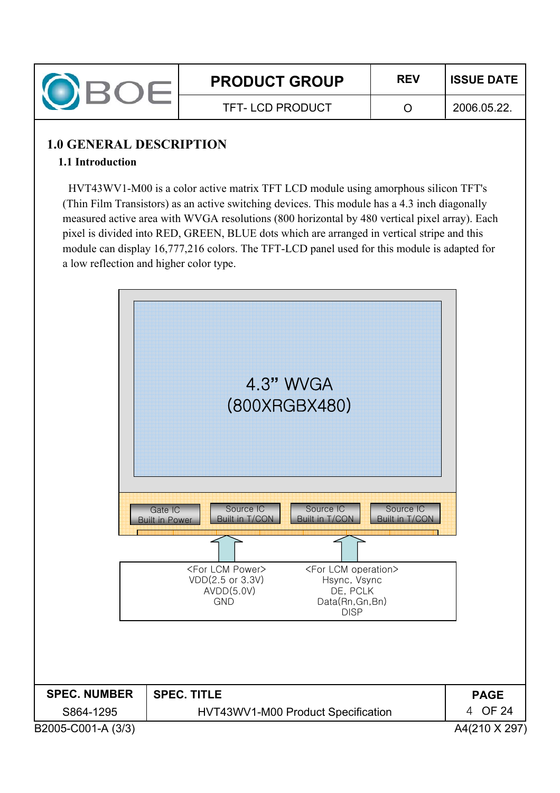

### **1.0 GENERAL DESCRIPTION**

#### **1.1 Introduction**

HVT43WV1-M00 is a color active matrix TFT LCD module using amorphous silicon TFT's (Thin Film Transistors) as an active switching devices. This module has a 4.3 inch diagonally measured active area with WVGA resolutions (800 horizontal by 480 vertical pixel array). Each pixel is divided into RED, GREEN, BLUE dots which are arranged in vertical stripe and this module can display 16,777,216 colors. The TFT-LCD panel used for this module is adapted for a low reflection and higher color type.

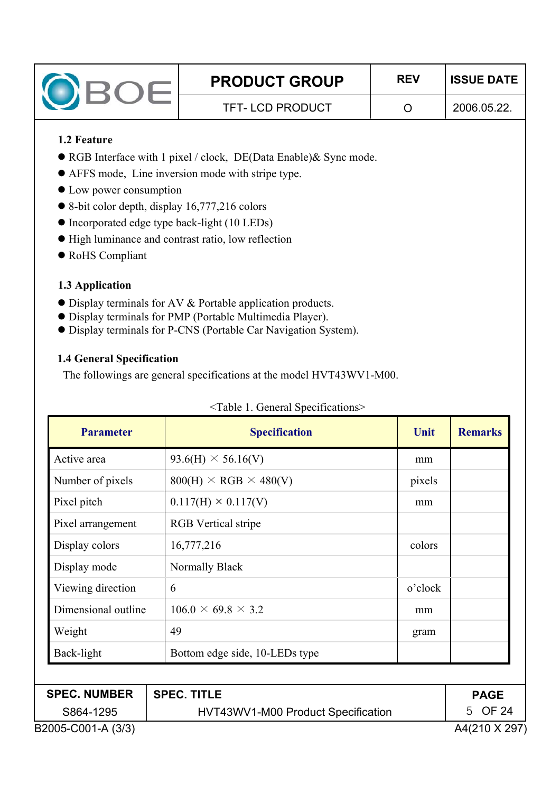| <b>PRODUCT GROUP</b>   | <b>REV</b> | <b>ISSUE DATE</b> |
|------------------------|------------|-------------------|
| <b>TFT-LCD PRODUCT</b> |            | 2006.05.22        |

#### **1.2 Feature**

- RGB Interface with 1 pixel / clock, DE(Data Enable)& Sync mode.
- AFFS mode, Line inversion mode with stripe type.
- Low power consumption
- $\bullet$  8-bit color depth, display 16,777,216 colors
- Incorporated edge type back-light (10 LEDs)
- $\bullet$  High luminance and contrast ratio, low reflection
- $\bullet$  RoHS Compliant

#### **1.3 Application**

- Display terminals for AV & Portable application products.
- $\bullet$  Display terminals for PMP (Portable Multimedia Player).
- $\bullet$  Display terminals for P-CNS (Portable Car Navigation System).

#### **1.4 General Specification**

The followings are general specifications at the model HVT43WV1-M00.

| <b>Parameter</b>    | <b>Specification</b>               | Unit    | <b>Remarks</b> |
|---------------------|------------------------------------|---------|----------------|
| Active area         | $93.6(H) \times 56.16(V)$          | mm      |                |
| Number of pixels    | $800(H) \times RGB \times 480(V)$  | pixels  |                |
| Pixel pitch         | $0.117(H) \times 0.117(V)$         | mm      |                |
| Pixel arrangement   | <b>RGB</b> Vertical stripe         |         |                |
| Display colors      | 16,777,216                         | colors  |                |
| Display mode        | Normally Black                     |         |                |
| Viewing direction   | 6                                  | o'clock |                |
| Dimensional outline | $106.0 \times 69.8 \times 3.2$     | mm      |                |
| Weight              | 49                                 | gram    |                |
| Back-light          | Bottom edge side, 10-LEDs type     |         |                |
|                     |                                    |         |                |
| <b>SPEC. NUMBER</b> | <b>SPEC. TITLE</b>                 |         | <b>PAGE</b>    |
| S864-1295           | HVT43WV1-M00 Product Specification |         | 5 OF 24        |
| B2005-C001-A (3/3)  |                                    |         | A4(210 X 297)  |

#### <Table 1. General Specifications>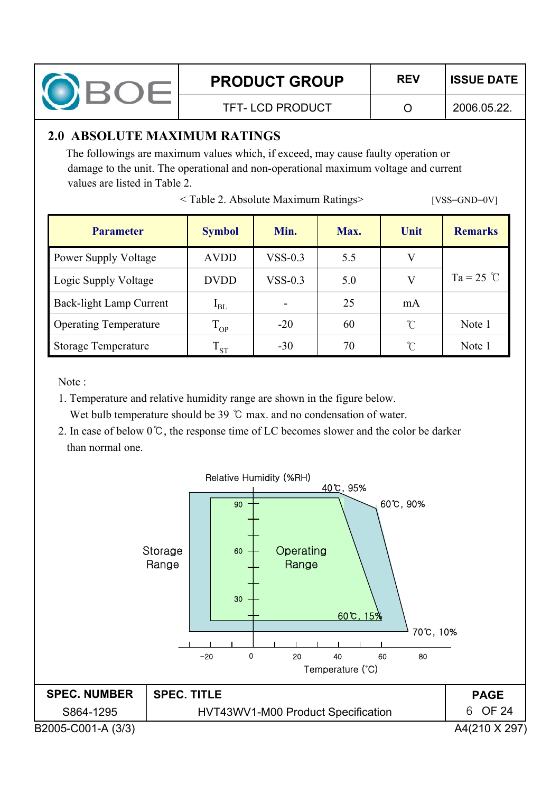

TFT- LCD PRODUCT O

2006.05.22.

# **2.0 ABSOLUTE MAXIMUM RATINGS**

The followings are maximum values which, if exceed, may cause faulty operation or damage to the unit. The operational and non-operational maximum voltage and current values are listed in Table 2.

< Table 2. Absolute Maximum Ratings> [VSS=GND=0V]

| <b>Parameter</b>               | <b>Symbol</b> | Min.      | Max. | Unit       | <b>Remarks</b> |
|--------------------------------|---------------|-----------|------|------------|----------------|
| <b>Power Supply Voltage</b>    | <b>AVDD</b>   | $VSS-0.3$ | 5.5  | V          |                |
| <b>Logic Supply Voltage</b>    | <b>DVDD</b>   | $VSS-0.3$ | 5.0  | V          | $Ta = 25$ °C   |
| <b>Back-light Lamp Current</b> | $I_{BL}$      | ۰         | 25   | mA         |                |
| <b>Operating Temperature</b>   | $T_{OP}$      | $-20$     | 60   | $\Upsilon$ | Note 1         |
| <b>Storage Temperature</b>     | $\rm T_{ST}$  | $-30$     | 70   | r          | Note 1         |

Note :

- 1. Temperature and relative humidity range are shown in the figure below. Wet bulb temperature should be  $39^{\circ}$ C max. and no condensation of water.
- 2. In case of below  $0^{\circ}$ C, the response time of LC becomes slower and the color be darker than normal one.

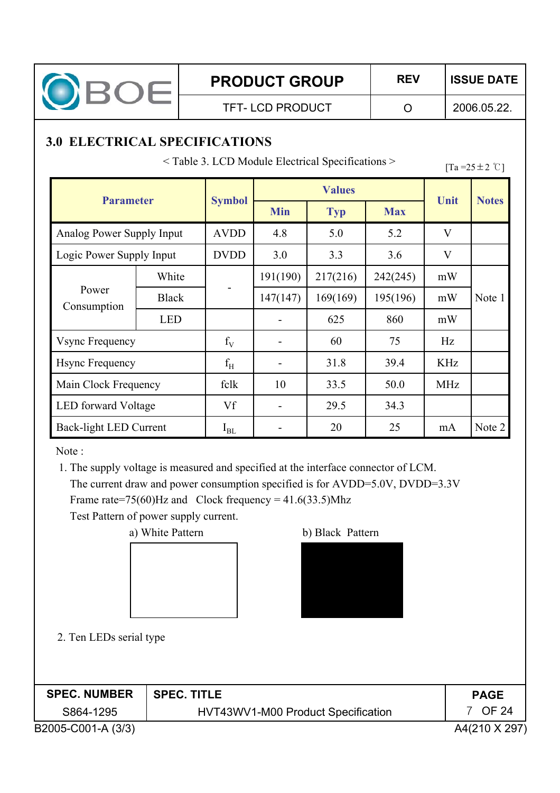

2006.05.22.

# **3.0 ELECTRICAL SPECIFICATIONS**

 $\leq$  Table 3. LCD Module Electrical Specifications  $\geq$  [Ta =25 ± 2 °C]

| <b>Parameter</b>           |              |               | <b>Values</b> |              | Unit       |                           |              |
|----------------------------|--------------|---------------|---------------|--------------|------------|---------------------------|--------------|
|                            |              | <b>Symbol</b> | <b>Min</b>    | <b>Typ</b>   | <b>Max</b> |                           | <b>Notes</b> |
| Analog Power Supply Input  |              | <b>AVDD</b>   | 4.8           | 5.0          | 5.2        | $\overline{\mathsf{V}}$   |              |
| Logic Power Supply Input   |              | <b>DVDD</b>   | 3.0           | 3.3          | 3.6        | $\boldsymbol{\mathrm{V}}$ |              |
|                            | White        |               | 191(190)      | 217(216)     | 242(245)   | mW                        |              |
| Power<br>Consumption       | <b>Black</b> |               | 147(147)      | 169(169)     | 195(196)   | mW                        | Note 1       |
|                            | <b>LED</b>   |               |               | 625          | 860        | mW                        |              |
| <b>Vsync Frequency</b>     |              | $f_V$         |               | 60           | 75         | Hz                        |              |
| <b>Hsync Frequency</b>     |              | $f_{\rm H}$   |               | 31.8         | 39.4       | <b>KHz</b>                |              |
| Main Clock Frequency       |              | fclk          | 10            | 33.5         | 50.0       | <b>MHz</b>                |              |
| <b>LED</b> forward Voltage |              | Vf            |               | 29.5<br>34.3 |            |                           |              |
| Back-light LED Current     |              | $I_{BL}$      |               | 20           | 25         | mA                        | Note 2       |

Note :

1. The supply voltage is measured and specified at the interface connector of LCM. The current draw and power consumption specified is for AVDD=5.0V, DVDD=3.3V Frame rate=75(60)Hz and Clock frequency =  $41.6(33.5)$ Mhz

Test Pattern of power supply current.

a) White Pattern b) Black Pattern





2. Ten LEDs serial type

| <b>SPEC. NUMBER</b> | ∣ SPEC. TITLE                      | <b>PAGE</b>   |
|---------------------|------------------------------------|---------------|
| S864-1295           | HVT43WV1-M00 Product Specification | OF 24         |
| B2005-C001-A (3/3)  |                                    | A4(210 X 297) |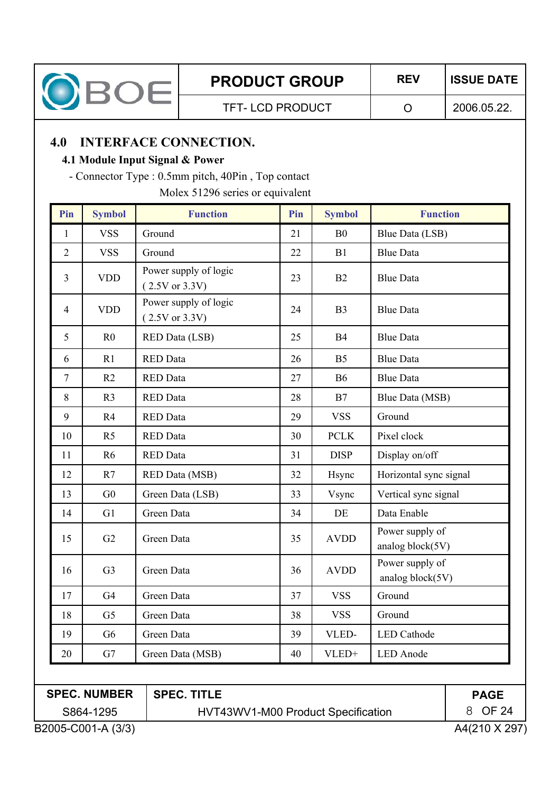

TFT- LCD PRODUCT O

2006.05.22.

# **4.0 INTERFACE CONNECTION.**

#### **4.1 Module Input Signal & Power**

- Connector Type : 0.5mm pitch, 40Pin , Top contact

Molex 51296 series or equivalent

| Pin            | <b>Symbol</b>  | <b>Function</b>                         | Pin | <b>Symbol</b>  | <b>Function</b>                     |
|----------------|----------------|-----------------------------------------|-----|----------------|-------------------------------------|
| $\mathbf{1}$   | <b>VSS</b>     | Ground                                  | 21  | B <sub>0</sub> | Blue Data (LSB)                     |
| $\overline{2}$ | <b>VSS</b>     | Ground                                  | 22  | B1             | <b>Blue Data</b>                    |
| $\overline{3}$ | <b>VDD</b>     | Power supply of logic<br>(2.5V or 3.3V) | 23  | B2             | <b>Blue Data</b>                    |
| $\overline{4}$ | <b>VDD</b>     | Power supply of logic<br>(2.5V or 3.3V) | 24  | B <sub>3</sub> | <b>Blue Data</b>                    |
| 5              | R <sub>0</sub> | <b>RED Data (LSB)</b>                   | 25  | B4             | <b>Blue Data</b>                    |
| 6              | R1             | <b>RED</b> Data                         | 26  | B <sub>5</sub> | <b>Blue Data</b>                    |
| $\overline{7}$ | R2             | <b>RED</b> Data                         | 27  | <b>B6</b>      | <b>Blue Data</b>                    |
| 8              | R <sub>3</sub> | <b>RED</b> Data                         | 28  | B7             | Blue Data (MSB)                     |
| 9              | R4             | <b>RED</b> Data                         | 29  | <b>VSS</b>     | Ground                              |
| 10             | R <sub>5</sub> | <b>RED</b> Data                         | 30  | <b>PCLK</b>    | Pixel clock                         |
| 11             | R <sub>6</sub> | <b>RED</b> Data                         | 31  | <b>DISP</b>    | Display on/off                      |
| 12             | R7             | <b>RED Data (MSB)</b>                   | 32  | Hsync          | Horizontal sync signal              |
| 13             | G <sub>0</sub> | Green Data (LSB)                        | 33  | Vsync          | Vertical sync signal                |
| 14             | G1             | Green Data                              | 34  | DE             | Data Enable                         |
| 15             | G2             | Green Data                              | 35  | <b>AVDD</b>    | Power supply of<br>analog block(5V) |
| 16             | G <sub>3</sub> | Green Data                              | 36  | <b>AVDD</b>    | Power supply of<br>analog block(5V) |
| 17             | G <sub>4</sub> | Green Data                              | 37  | <b>VSS</b>     | Ground                              |
| 18             | G <sub>5</sub> | Green Data                              | 38  | <b>VSS</b>     | Ground                              |
| 19             | G <sub>6</sub> | Green Data                              | 39  | VLED-          | <b>LED</b> Cathode                  |
| 20             | G7             | Green Data (MSB)                        | 40  | VLED+          | <b>LED</b> Anode                    |

# **SPEC. NUMBER**

S864-1295 **SPEC. TITLE**

HVT43WV1-M00 Product Specification

**PAGE** \_ OF 24

B2005-C001-A (3/3) A4(210 X 297)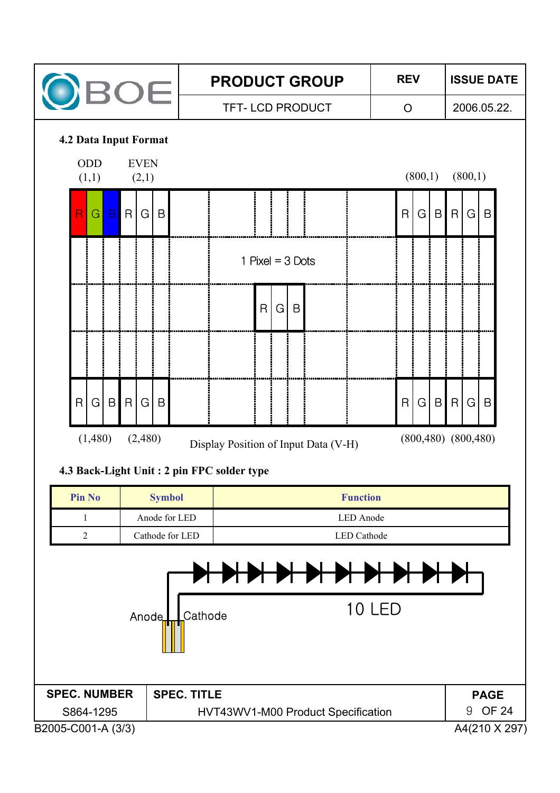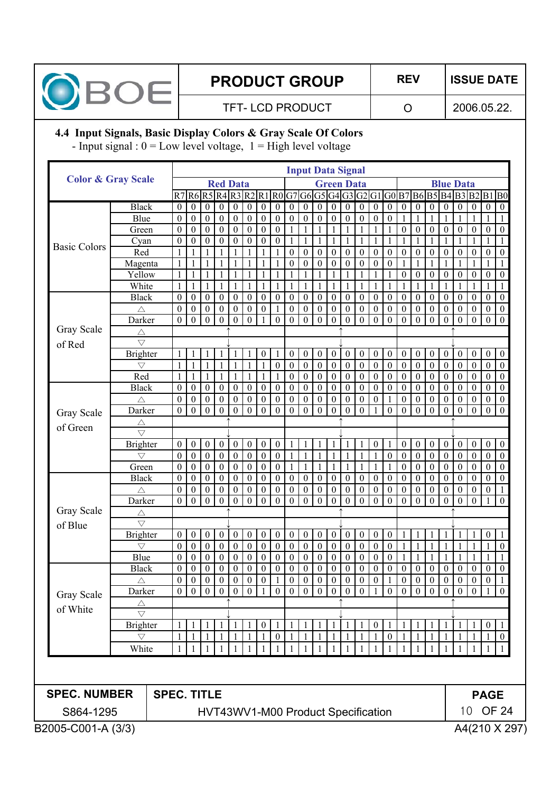

# **PRODUCT GROUP | REV | ISSUE DATE**

TFT-LCD PRODUCT | O

2006.05.22.

#### **4.4 Input Signals, Basic Display Colors & Gray Scale Of Colors**

- Input signal :  $0 = Low$  level voltage,  $1 = High$  level voltage

|                                                                                                    |                         |                    |                                      |                                  |                              |                              |                                    |                                      |                                      |                              |                              |                                  |                                      |                                    | <b>Input Data Signal</b>                                                |                                      |                                      |                          |                              |                                |                          |                                      |                                      |                                  |                  |                  |
|----------------------------------------------------------------------------------------------------|-------------------------|--------------------|--------------------------------------|----------------------------------|------------------------------|------------------------------|------------------------------------|--------------------------------------|--------------------------------------|------------------------------|------------------------------|----------------------------------|--------------------------------------|------------------------------------|-------------------------------------------------------------------------|--------------------------------------|--------------------------------------|--------------------------|------------------------------|--------------------------------|--------------------------|--------------------------------------|--------------------------------------|----------------------------------|------------------|------------------|
| <b>Color &amp; Gray Scale</b>                                                                      |                         |                    |                                      |                                  |                              | <b>Red Data</b>              |                                    |                                      |                                      |                              |                              |                                  |                                      |                                    | <b>Green Data</b>                                                       |                                      |                                      |                          |                              |                                |                          | <b>Blue Data</b>                     |                                      |                                  |                  |                  |
|                                                                                                    |                         |                    |                                      |                                  |                              |                              |                                    |                                      |                                      |                              |                              |                                  |                                      |                                    | R7 R6 R5 R4 R3 R2 R1 R0 G7 G6 G5 G4 G3 G2 G1 G0 B7 B6 B5 B4 B3 B2 B1 B0 |                                      |                                      |                          |                              |                                |                          |                                      |                                      |                                  |                  |                  |
|                                                                                                    | <b>Black</b>            |                    | $\boldsymbol{0}$                     | $\overline{0}$                   | $\boldsymbol{0}$             | $\boldsymbol{0}$             | $\boldsymbol{0}$                   | $\boldsymbol{0}$                     | $\boldsymbol{0}$                     | $\boldsymbol{0}$             | $\boldsymbol{0}$             | $\overline{0}$                   | $\boldsymbol{0}$                     | $\boldsymbol{0}$                   | $\boldsymbol{0}$                                                        | $\boldsymbol{0}$                     | $\boldsymbol{0}$                     | $\boldsymbol{0}$         | $\boldsymbol{0}$             | $\overline{0}$                 | $\boldsymbol{0}$         | $\boldsymbol{0}$                     | $\boldsymbol{0}$                     | $\boldsymbol{0}$                 | $\boldsymbol{0}$ | $\boldsymbol{0}$ |
|                                                                                                    | Blue                    |                    | $\boldsymbol{0}$                     | $\overline{0}$                   | $\boldsymbol{0}$             | $\boldsymbol{0}$             | $\boldsymbol{0}$                   | $\boldsymbol{0}$                     | $\boldsymbol{0}$                     | $\mathbf{0}$                 | $\boldsymbol{0}$             | $\boldsymbol{0}$                 | $\mathbf{0}$                         | $\boldsymbol{0}$                   | $\boldsymbol{0}$                                                        | $\boldsymbol{0}$                     | $\boldsymbol{0}$                     | $\theta$                 |                              | 1                              | 1                        | 1                                    | 1                                    | 1                                | 1                |                  |
|                                                                                                    | Green                   |                    | $\boldsymbol{0}$                     | $\overline{0}$                   | $\boldsymbol{0}$             | $\boldsymbol{0}$             | $\boldsymbol{0}$                   | $\boldsymbol{0}$                     | $\mathbf{0}$                         | $\mathbf{0}$                 | 1                            | 1                                | 1                                    | 1                                  | $\mathbf{1}$                                                            | $\mathbf{1}$                         | 1                                    |                          | $\mathbf{0}$                 | $\boldsymbol{0}$               | $\mathbf{0}$             | $\boldsymbol{0}$                     | $\boldsymbol{0}$                     | $\boldsymbol{0}$                 | $\boldsymbol{0}$ | $\boldsymbol{0}$ |
| <b>Basic Colors</b>                                                                                | Cyan                    |                    | $\boldsymbol{0}$                     | $\overline{0}$                   | $\boldsymbol{0}$             | $\boldsymbol{0}$             | $\boldsymbol{0}$                   | $\boldsymbol{0}$                     | $\boldsymbol{0}$                     | $\boldsymbol{0}$             | $\mathbf{1}$                 | $\mathbf{1}$                     | $\mathbf{1}$                         | $\mathbf{1}$                       | $\mathbf{1}$                                                            | $\mathbf{1}$                         | 1                                    |                          |                              |                                | 1                        |                                      | 1                                    | 1                                | $\mathbf{1}$     |                  |
|                                                                                                    | Red                     |                    | $\mathbf{1}$                         | $\mathbf{1}$                     |                              | $\mathbf{1}$                 | $\mathbf{1}$                       | 1                                    | 1                                    |                              | $\boldsymbol{0}$             | $\boldsymbol{0}$                 | $\boldsymbol{0}$                     | $\boldsymbol{0}$                   | $\boldsymbol{0}$                                                        | $\boldsymbol{0}$                     | $\boldsymbol{0}$                     | $\boldsymbol{0}$         | $\boldsymbol{0}$             | $\mathbf{0}$                   | $\mathbf{0}$             | $\boldsymbol{0}$                     | $\boldsymbol{0}$                     | $\boldsymbol{0}$                 | $\boldsymbol{0}$ | $\mathbf{0}$     |
|                                                                                                    | Magenta                 |                    | 1                                    | $\mathbf{1}$                     | $\mathbf{1}$                 | 1                            | $\mathbf{1}$                       | $\mathbf{1}$                         | 1                                    |                              | $\boldsymbol{0}$             | $\boldsymbol{0}$                 | $\boldsymbol{0}$                     | $\boldsymbol{0}$                   | $\boldsymbol{0}$                                                        | $\boldsymbol{0}$                     | $\boldsymbol{0}$                     | $\boldsymbol{0}$         | 1                            | 1                              | 1                        |                                      | 1                                    | 1                                | $\mathbf{1}$     |                  |
|                                                                                                    | Yellow                  |                    | $\mathbf{1}$                         | $\mathbf{1}$                     | 1                            | 1                            | $\mathbf{1}$                       | $\mathbf{1}$                         | 1                                    |                              | 1                            | 1                                | 1                                    | 1                                  | $\mathbf{1}$                                                            | $\mathbf{1}$                         | 1                                    |                          | $\boldsymbol{0}$             | $\mathbf{0}$                   | $\mathbf{0}$             | $\boldsymbol{0}$                     | $\boldsymbol{0}$                     | $\boldsymbol{0}$                 | $\boldsymbol{0}$ | $\boldsymbol{0}$ |
|                                                                                                    | White                   |                    | $\mathbf{1}$                         | 1                                | 1                            | $\mathbf{1}$                 | $\mathbf{1}$                       | $\mathbf{1}$                         | 1                                    | 1                            | $\mathbf{1}$                 | $\mathbf{1}$                     | $\mathbf{1}$                         | $\mathbf{1}$                       | $\mathbf{1}$                                                            | $\mathbf{1}$                         | 1                                    |                          |                              |                                | 1                        |                                      | $\mathbf{1}$                         | 1                                | $\mathbf{1}$     |                  |
|                                                                                                    | <b>Black</b>            |                    | $\boldsymbol{0}$                     | $\overline{0}$                   | $\mathbf{0}$                 | $\boldsymbol{0}$             | $\boldsymbol{0}$                   | $\boldsymbol{0}$                     | $\boldsymbol{0}$                     | $\mathbf{0}$                 | $\mathbf{0}$                 | $\mathbf{0}$                     | $\boldsymbol{0}$                     | $\boldsymbol{0}$                   | $\boldsymbol{0}$                                                        | $\boldsymbol{0}$                     | $\boldsymbol{0}$                     | $\mathbf{0}$             | $\boldsymbol{0}$             | $\mathbf{0}$                   | $\overline{0}$           | $\boldsymbol{0}$                     | $\boldsymbol{0}$                     | $\boldsymbol{0}$                 | $\boldsymbol{0}$ | $\mathbf{0}$     |
|                                                                                                    | $\triangle$             |                    | $\boldsymbol{0}$                     | $\overline{0}$                   | $\mathbf{0}$                 | $\boldsymbol{0}$             | $\boldsymbol{0}$                   | $\boldsymbol{0}$                     | $\mathbf{0}$                         |                              | $\boldsymbol{0}$             | $\boldsymbol{0}$                 | $\boldsymbol{0}$                     | $\boldsymbol{0}$                   | $\boldsymbol{0}$                                                        | $\boldsymbol{0}$                     | $\boldsymbol{0}$                     | $\mathbf{0}$             | $\boldsymbol{0}$             | $\mathbf{0}$                   | $\mathbf{0}$             | $\boldsymbol{0}$                     | $\boldsymbol{0}$                     | $\boldsymbol{0}$                 | $\mathbf{0}$     | $\boldsymbol{0}$ |
|                                                                                                    | Darker                  |                    | $\boldsymbol{0}$                     | $\overline{0}$                   | $\theta$                     | $\overline{0}$               | $\boldsymbol{0}$                   | $\mathbf{0}$                         |                                      | $\mathbf{0}$                 | $\theta$                     | $\overline{0}$                   | $\mathbf{0}$                         | $\mathbf{0}$                       | $\boldsymbol{0}$                                                        | $\boldsymbol{0}$                     | $\boldsymbol{0}$                     | $\theta$                 | $\mathbf{0}$                 | $\mathbf{0}$                   | $\theta$                 | $\mathbf{0}$                         | $\boldsymbol{0}$                     | $\boldsymbol{0}$                 | $\boldsymbol{0}$ | $\theta$         |
| Gray Scale                                                                                         | Δ                       |                    |                                      |                                  |                              |                              |                                    |                                      |                                      |                              |                              |                                  |                                      |                                    |                                                                         |                                      |                                      |                          |                              |                                |                          |                                      |                                      |                                  |                  |                  |
| of Red                                                                                             | $\bigtriangledown$      |                    |                                      |                                  |                              |                              |                                    |                                      |                                      |                              |                              |                                  |                                      |                                    |                                                                         |                                      |                                      |                          |                              |                                |                          |                                      |                                      |                                  |                  |                  |
|                                                                                                    | <b>Brighter</b>         |                    | 1                                    | 1                                | 1                            | $\mathbf{1}$                 | 1                                  | $\mathbf{1}$                         | $\boldsymbol{0}$                     | 1                            | $\mathbf{0}$                 | $\overline{0}$                   | $\boldsymbol{0}$                     | $\boldsymbol{0}$                   | $\boldsymbol{0}$                                                        | $\boldsymbol{0}$                     | $\boldsymbol{0}$                     | $\boldsymbol{0}$         | $\boldsymbol{0}$             | $\overline{0}$                 | $\boldsymbol{0}$         | $\boldsymbol{0}$                     | $\boldsymbol{0}$                     | $\boldsymbol{0}$                 | $\boldsymbol{0}$ | $\boldsymbol{0}$ |
|                                                                                                    | $\bigtriangledown$      |                    | $\mathbf{1}$                         | $\mathbf{1}$                     | $\mathbf{1}$                 | $\mathbf{1}$                 | $\mathbf{1}$                       | $\mathbf{1}$                         | 1                                    | $\boldsymbol{0}$             | $\boldsymbol{0}$             | $\mathbf{0}$                     | $\overline{0}$                       | $\overline{0}$                     | $\overline{0}$                                                          | $\overline{0}$                       | $\boldsymbol{0}$                     | $\boldsymbol{0}$         | $\boldsymbol{0}$             | $\mathbf{0}$                   | $\mathbf{0}$             | $\boldsymbol{0}$                     | $\boldsymbol{0}$                     | $\boldsymbol{0}$                 | $\boldsymbol{0}$ | $\mathbf{0}$     |
|                                                                                                    | Red                     |                    | $\mathbf{1}$                         | $\mathbf{1}$                     | 1                            | $\mathbf{1}$                 | $\mathbf{1}$                       | $\mathbf{1}$                         | $\mathbf{1}$                         |                              | $\boldsymbol{0}$             | $\boldsymbol{0}$                 | $\boldsymbol{0}$                     | $\boldsymbol{0}$                   | $\boldsymbol{0}$                                                        | $\boldsymbol{0}$                     | $\boldsymbol{0}$                     | $\mathbf{0}$             | $\boldsymbol{0}$             | $\mathbf{0}$                   | $\overline{0}$           | $\boldsymbol{0}$                     | $\boldsymbol{0}$                     | $\boldsymbol{0}$                 | $\boldsymbol{0}$ | $\boldsymbol{0}$ |
|                                                                                                    | <b>Black</b>            |                    | $\boldsymbol{0}$                     | $\overline{0}$                   | $\boldsymbol{0}$             | $\boldsymbol{0}$             | $\boldsymbol{0}$                   | $\boldsymbol{0}$                     | $\mathbf{0}$                         | $\mathbf{0}$                 | $\boldsymbol{0}$             | $\boldsymbol{0}$                 | $\boldsymbol{0}$                     | $\boldsymbol{0}$                   | $\overline{0}$                                                          | $\boldsymbol{0}$                     | $\boldsymbol{0}$                     | $\mathbf{0}$             | $\boldsymbol{0}$             | $\mathbf{0}$                   | $\mathbf{0}$             | $\boldsymbol{0}$                     | $\boldsymbol{0}$                     | $\boldsymbol{0}$                 | $\boldsymbol{0}$ | $\boldsymbol{0}$ |
|                                                                                                    | $\triangle$             |                    | $\boldsymbol{0}$                     | $\overline{0}$                   | $\mathbf{0}$                 | $\boldsymbol{0}$             | $\boldsymbol{0}$                   | $\boldsymbol{0}$                     | $\boldsymbol{0}$                     | $\mathbf{0}$                 | $\mathbf{0}$                 | $\boldsymbol{0}$                 | $\boldsymbol{0}$                     | $\boldsymbol{0}$                   | $\boldsymbol{0}$                                                        | $\boldsymbol{0}$                     | $\boldsymbol{0}$                     |                          | $\boldsymbol{0}$             | $\mathbf{0}$                   | $\mathbf{0}$             | $\boldsymbol{0}$                     | $\boldsymbol{0}$                     | $\boldsymbol{0}$                 | $\boldsymbol{0}$ | $\boldsymbol{0}$ |
| Gray Scale                                                                                         | Darker                  |                    | $\boldsymbol{0}$                     | $\overline{0}$                   | $\boldsymbol{0}$             | $\overline{0}$               | $\boldsymbol{0}$                   | $\boldsymbol{0}$                     | $\boldsymbol{0}$                     | $\theta$                     | $\theta$                     | $\overline{0}$                   | $\mathbf{0}$                         | $\mathbf{0}$                       | $\boldsymbol{0}$                                                        | $\boldsymbol{0}$                     |                                      | $\theta$                 | $\boldsymbol{0}$             | $\theta$                       | $\mathbf{0}$             | $\theta$                             | $\boldsymbol{0}$                     | $\boldsymbol{0}$                 | $\mathbf{0}$     | $\theta$         |
| of Green                                                                                           | Δ<br>$\bigtriangledown$ |                    |                                      |                                  |                              |                              |                                    |                                      |                                      |                              |                              |                                  |                                      |                                    |                                                                         |                                      |                                      |                          |                              |                                |                          |                                      |                                      |                                  |                  |                  |
|                                                                                                    |                         |                    |                                      |                                  |                              |                              |                                    |                                      |                                      |                              |                              |                                  |                                      |                                    |                                                                         |                                      |                                      |                          |                              |                                |                          |                                      |                                      |                                  |                  |                  |
|                                                                                                    | <b>Brighter</b>         |                    | $\mathbf{0}$<br>$\boldsymbol{0}$     | $\overline{0}$                   | $\boldsymbol{0}$             | $\boldsymbol{0}$             | $\boldsymbol{0}$<br>$\overline{0}$ | $\boldsymbol{0}$                     | $\boldsymbol{0}$                     | $\boldsymbol{0}$             | $\mathbf{1}$                 | 1                                | 1                                    | 1                                  | 1                                                                       | 1                                    | $\boldsymbol{0}$                     | 1                        | $\boldsymbol{0}$             | $\overline{0}$<br>$\mathbf{0}$ | $\boldsymbol{0}$         | $\boldsymbol{0}$<br>$\boldsymbol{0}$ | $\boldsymbol{0}$                     | $\boldsymbol{0}$                 | $\boldsymbol{0}$ | $\boldsymbol{0}$ |
|                                                                                                    | $\bigtriangledown$      |                    |                                      | $\overline{0}$                   | $\boldsymbol{0}$             | $\boldsymbol{0}$             |                                    | $\boldsymbol{0}$                     | $\boldsymbol{0}$                     | $\boldsymbol{0}$             | $\mathbf{1}$                 | $\mathbf{1}$                     | $\mathbf{1}$                         | $\mathbf{1}$                       | $\mathbf{1}$                                                            | $\mathbf{1}$                         | 1                                    | $\boldsymbol{0}$         | $\mathbf{0}$                 |                                | $\mathbf{0}$             |                                      | $\boldsymbol{0}$                     | $\boldsymbol{0}$                 | $\boldsymbol{0}$ | $\boldsymbol{0}$ |
|                                                                                                    | Green                   |                    | $\boldsymbol{0}$<br>$\boldsymbol{0}$ | $\overline{0}$                   | $\mathbf{0}$                 | $\boldsymbol{0}$             | $\boldsymbol{0}$                   | $\boldsymbol{0}$                     | $\boldsymbol{0}$                     | $\mathbf{0}$                 | $\mathbf{1}$                 | $\mathbf{1}$                     | $\mathbf{1}$                         | $\mathbf{1}$                       | $\mathbf{1}$                                                            | $\mathbf{1}$                         | 1                                    |                          | $\boldsymbol{0}$             | $\mathbf{0}$                   | $\mathbf{0}$             | $\boldsymbol{0}$                     | $\boldsymbol{0}$                     | $\mathbf{0}$<br>$\boldsymbol{0}$ | $\boldsymbol{0}$ | $\boldsymbol{0}$ |
|                                                                                                    | <b>Black</b>            |                    | $\boldsymbol{0}$                     | $\overline{0}$                   | $\mathbf{0}$                 | $\boldsymbol{0}$             | $\boldsymbol{0}$                   | $\boldsymbol{0}$                     | $\boldsymbol{0}$                     | $\mathbf{0}$                 | $\boldsymbol{0}$             | $\boldsymbol{0}$                 | $\boldsymbol{0}$                     | $\boldsymbol{0}$                   | $\boldsymbol{0}$                                                        | $\boldsymbol{0}$                     | $\boldsymbol{0}$                     | $\mathbf{0}$             | $\boldsymbol{0}$             | $\mathbf{0}$                   | $\mathbf{0}$             | $\mathbf{0}$                         | $\boldsymbol{0}$                     |                                  | $\boldsymbol{0}$ | $\boldsymbol{0}$ |
|                                                                                                    | $\triangle$<br>Darker   |                    | $\boldsymbol{0}$                     | $\overline{0}$<br>$\overline{0}$ | $\boldsymbol{0}$<br>$\theta$ | $\mathbf{0}$<br>$\mathbf{0}$ | $\boldsymbol{0}$<br>$\mathbf{0}$   | $\boldsymbol{0}$<br>$\boldsymbol{0}$ | $\boldsymbol{0}$<br>$\boldsymbol{0}$ | $\boldsymbol{0}$<br>$\theta$ | $\boldsymbol{0}$<br>$\theta$ | $\boldsymbol{0}$<br>$\mathbf{0}$ | $\boldsymbol{0}$<br>$\boldsymbol{0}$ | $\boldsymbol{0}$<br>$\overline{0}$ | $\boldsymbol{0}$<br>$\overline{0}$                                      | $\boldsymbol{0}$<br>$\boldsymbol{0}$ | $\boldsymbol{0}$<br>$\boldsymbol{0}$ | $\mathbf{0}$<br>$\theta$ | $\boldsymbol{0}$<br>$\theta$ | $\mathbf{0}$<br>$\mathbf{0}$   | $\mathbf{0}$<br>$\Omega$ | $\boldsymbol{0}$<br>$\theta$         | $\boldsymbol{0}$<br>$\boldsymbol{0}$ | $\boldsymbol{0}$<br>$\theta$     | $\boldsymbol{0}$ | $\theta$         |
| Gray Scale                                                                                         |                         |                    |                                      |                                  |                              |                              |                                    |                                      |                                      |                              |                              |                                  |                                      |                                    |                                                                         |                                      |                                      |                          |                              |                                |                          |                                      |                                      |                                  |                  |                  |
|                                                                                                    | Δ<br>$\bigtriangledown$ |                    |                                      |                                  |                              |                              |                                    |                                      |                                      |                              |                              |                                  |                                      |                                    |                                                                         |                                      |                                      |                          |                              |                                |                          |                                      |                                      |                                  |                  |                  |
| of Blue                                                                                            | <b>Brighter</b>         |                    | $\mathbf{0}$                         | $\overline{0}$                   | $\boldsymbol{0}$             | $\boldsymbol{0}$             | $\boldsymbol{0}$                   | $\boldsymbol{0}$                     | $\boldsymbol{0}$                     | $\boldsymbol{0}$             | $\mathbf{0}$                 | $\mathbf{0}$                     | $\boldsymbol{0}$                     | $\boldsymbol{0}$                   | $\boldsymbol{0}$                                                        | $\boldsymbol{0}$                     | $\boldsymbol{0}$                     | $\boldsymbol{0}$         | 1                            | 1                              | 1                        | 1                                    | 1                                    | $\mathbf{1}$                     | $\boldsymbol{0}$ | 1                |
|                                                                                                    | $\bigtriangledown$      |                    | $\boldsymbol{0}$                     | $\overline{0}$                   | $\mathbf{0}$                 | $\boldsymbol{0}$             | $\overline{0}$                     | $\boldsymbol{0}$                     | $\boldsymbol{0}$                     | $\mathbf{0}$                 | $\boldsymbol{0}$             | $\overline{0}$                   | $\boldsymbol{0}$                     | $\overline{0}$                     | $\overline{0}$                                                          | $\boldsymbol{0}$                     | $\boldsymbol{0}$                     | $\boldsymbol{0}$         | $\mathbf{1}$                 | 1                              | $\mathbf{1}$             | 1                                    | $\mathbf{1}$                         | $\mathbf{1}$                     | 1                | $\boldsymbol{0}$ |
|                                                                                                    | Blue                    |                    | $\boldsymbol{0}$                     | $\overline{0}$                   | $\boldsymbol{0}$             | $\boldsymbol{0}$             | $\boldsymbol{0}$                   | $\boldsymbol{0}$                     | $\boldsymbol{0}$                     | $\boldsymbol{0}$             | $\boldsymbol{0}$             | $\mathbf{0}$                     | $\boldsymbol{0}$                     | $\boldsymbol{0}$                   | $\boldsymbol{0}$                                                        | $\boldsymbol{0}$                     | $\boldsymbol{0}$                     | $\boldsymbol{0}$         | 1                            | 1                              | 1                        | 1                                    | 1                                    | $\mathbf{1}$                     | $\mathbf{1}$     |                  |
|                                                                                                    | <b>Black</b>            |                    | $\boldsymbol{0}$                     | $\overline{0}$                   | $\boldsymbol{0}$             | $\boldsymbol{0}$             | $\boldsymbol{0}$                   | $\boldsymbol{0}$                     | $\boldsymbol{0}$                     | $\boldsymbol{0}$             | $\boldsymbol{0}$             | $\mathbf{0}$                     | $\boldsymbol{0}$                     | $\boldsymbol{0}$                   | $\boldsymbol{0}$                                                        | $\boldsymbol{0}$                     | $\boldsymbol{0}$                     | $\boldsymbol{0}$         | $\boldsymbol{0}$             | $\boldsymbol{0}$               | $\overline{0}$           | $\boldsymbol{0}$                     | $\boldsymbol{0}$                     | $\boldsymbol{0}$                 | $\boldsymbol{0}$ | $\boldsymbol{0}$ |
|                                                                                                    | $\triangle$             |                    | $\boldsymbol{0}$                     | $\overline{0}$                   | $\boldsymbol{0}$             | $\boldsymbol{0}$             | $\boldsymbol{0}$                   | $\theta$                             | $\boldsymbol{0}$                     |                              | $\mathbf{0}$                 | $\overline{0}$                   | $\boldsymbol{0}$                     | $\overline{0}$                     | $\boldsymbol{0}$                                                        | $\boldsymbol{0}$                     | $\mathbf{0}$                         |                          | $\boldsymbol{0}$             | $\overline{0}$                 | $\overline{0}$           | $\theta$                             | $\boldsymbol{0}$                     | $\theta$                         | $\theta$         |                  |
|                                                                                                    | Darker                  |                    | $\overline{0}$                       |                                  | $0 \mid 0 \mid$              |                              | $0 \mid 0 \mid$                    | $\vert 0 \vert$                      | $\mathbf{1}$                         | $\boldsymbol{0}$             | 0 <sup>1</sup>               |                                  | $0 \mid 0 \mid$                      |                                    | $0 \mid 0 \mid$                                                         | $\vert 0 \vert$                      | $\mathbf{1}$                         | $\boldsymbol{0}$         | $\vert$ 0                    |                                | $0 \mid 0$               | $\overline{0}$                       | $\overline{0}$                       | $0 \mid 1$                       |                  | $\boldsymbol{0}$ |
| Gray Scale                                                                                         | Δ                       |                    |                                      |                                  |                              |                              |                                    |                                      |                                      |                              |                              |                                  |                                      |                                    |                                                                         |                                      |                                      |                          |                              |                                |                          |                                      |                                      |                                  |                  |                  |
| of White                                                                                           | $\bigtriangledown$      |                    |                                      |                                  |                              |                              |                                    |                                      |                                      |                              |                              |                                  |                                      |                                    |                                                                         |                                      |                                      |                          |                              |                                |                          |                                      |                                      |                                  |                  |                  |
|                                                                                                    | <b>Brighter</b>         |                    |                                      | 1                                |                              |                              | 1                                  | $\mathbf{1}$                         | $\boldsymbol{0}$                     |                              | 1                            | 1                                |                                      |                                    | 1                                                                       | 1                                    | $\boldsymbol{0}$                     |                          |                              |                                |                          |                                      |                                      | 1                                | $\boldsymbol{0}$ |                  |
|                                                                                                    | $\bigtriangledown$      |                    |                                      | 1                                |                              |                              | 1                                  | $\mathbf{1}$                         | -1                                   | $\boldsymbol{0}$             |                              | $\mathbf{1}$                     | 1                                    |                                    | 1                                                                       | 1                                    |                                      | $\boldsymbol{0}$         |                              |                                |                          |                                      |                                      | 1                                | 1                | $\boldsymbol{0}$ |
|                                                                                                    | White                   |                    | 1                                    | 1                                |                              |                              |                                    |                                      |                                      |                              |                              |                                  |                                      |                                    |                                                                         |                                      |                                      |                          |                              |                                |                          |                                      |                                      |                                  | 1                |                  |
|                                                                                                    |                         |                    |                                      |                                  |                              |                              |                                    |                                      |                                      |                              |                              |                                  |                                      |                                    |                                                                         |                                      |                                      |                          |                              |                                |                          |                                      |                                      |                                  |                  |                  |
| <b>SPEC. NUMBER</b>                                                                                |                         | <b>SPEC. TITLE</b> |                                      |                                  |                              |                              |                                    |                                      |                                      |                              |                              |                                  |                                      |                                    |                                                                         |                                      |                                      |                          |                              |                                |                          |                                      |                                      |                                  |                  |                  |
|                                                                                                    |                         |                    |                                      |                                  |                              |                              |                                    |                                      |                                      |                              |                              |                                  |                                      |                                    |                                                                         |                                      |                                      |                          |                              |                                |                          |                                      |                                      |                                  | <b>PAGE</b>      |                  |
|                                                                                                    |                         |                    |                                      |                                  |                              |                              |                                    |                                      |                                      |                              |                              |                                  |                                      |                                    |                                                                         |                                      |                                      |                          |                              |                                |                          |                                      |                                      |                                  |                  |                  |
| 10 OF 24<br>S864-1295<br>HVT43WV1-M00 Product Specification<br>A4(210 X 297)<br>B2005-C001-A (3/3) |                         |                    |                                      |                                  |                              |                              |                                    |                                      |                                      |                              |                              |                                  |                                      |                                    |                                                                         |                                      |                                      |                          |                              |                                |                          |                                      |                                      |                                  |                  |                  |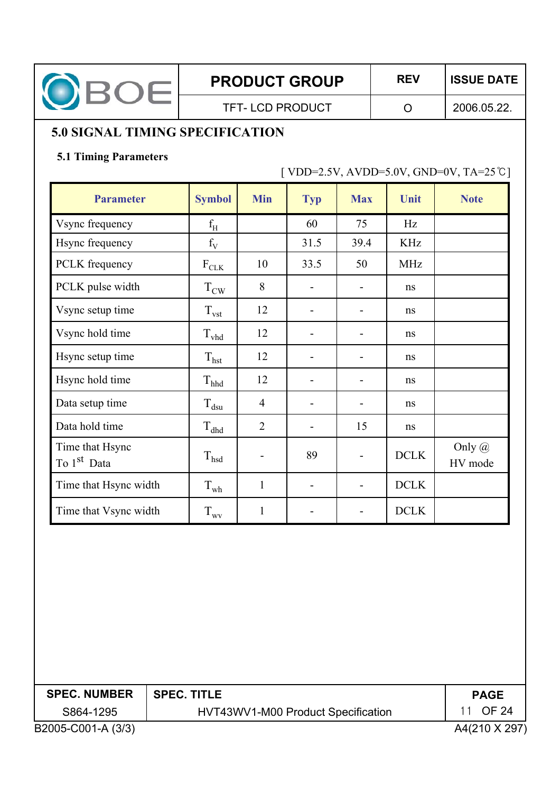

**PRODUCT GROUP | REV | ISSUE DATE** 

TFT-LCD PRODUCT | O

2006.05.22.

# **5.0 SIGNAL TIMING SPECIFICATION**

#### **5.1 Timing Parameters**

 $[ VDD=2.5V, AVDD=5.0V, GND=0V, TA=25°C]$ 

| <b>Parameter</b>                           | <b>Symbol</b>     | <b>Min</b>               | <b>Typ</b>               | <b>Max</b>     | Unit        | <b>Note</b>              |
|--------------------------------------------|-------------------|--------------------------|--------------------------|----------------|-------------|--------------------------|
| Vsync frequency                            | $f_H$             |                          | 60                       | 75             | Hz          |                          |
| Hsync frequency                            | $f_V$             |                          | 31.5                     | 39.4           | <b>KHz</b>  |                          |
| PCLK frequency                             | $\rm F_{\rm CLK}$ | 10                       | 33.5                     | 50             | <b>MHz</b>  |                          |
| PCLK pulse width                           | $T_{\text{CW}}$   | 8                        |                          |                | ns          |                          |
| Vsync setup time                           | $T_{\text{vst}}$  | 12                       | $\blacksquare$           |                | ns          |                          |
| Vsync hold time                            | $\rm T_{vhd}$     | 12                       |                          |                | ns          |                          |
| Hsync setup time                           | $T_{\text{hst}}$  | 12                       | $\blacksquare$           |                | ns          |                          |
| Hsync hold time                            | $\rm T_{hhd}$     | 12                       | $\overline{a}$           |                | ns          |                          |
| Data setup time                            | $T_{dsu}$         | $\overline{4}$           | $\overline{\phantom{a}}$ | -              | ns          |                          |
| Data hold time                             | $T_{\rm dhd}$     | $\overline{2}$           | $\overline{a}$           | 15             | ns          |                          |
| Time that Hsync<br>To 1 <sup>st</sup> Data | $T_{hsd}$         | $\overline{\phantom{a}}$ | 89                       | $\overline{a}$ | <b>DCLK</b> | Only $\omega$<br>HV mode |
| Time that Hsync width                      | $T_{wh}$          | $\mathbf{1}$             | $\overline{\phantom{a}}$ | -              | <b>DCLK</b> |                          |
| Time that Vsync width                      | $T_{\rm wv}$      | $\mathbf{1}$             |                          |                | <b>DCLK</b> |                          |

| <b>SPEC. NUMBER</b> | $\mid$ SPEC. TITLE                 | <b>PAGE</b>  |
|---------------------|------------------------------------|--------------|
| S864-1295           | HVT43WV1-M00 Product Specification | 11 OF 24     |
| B2005-C001-A (3/3)  |                                    | A4(210 X 297 |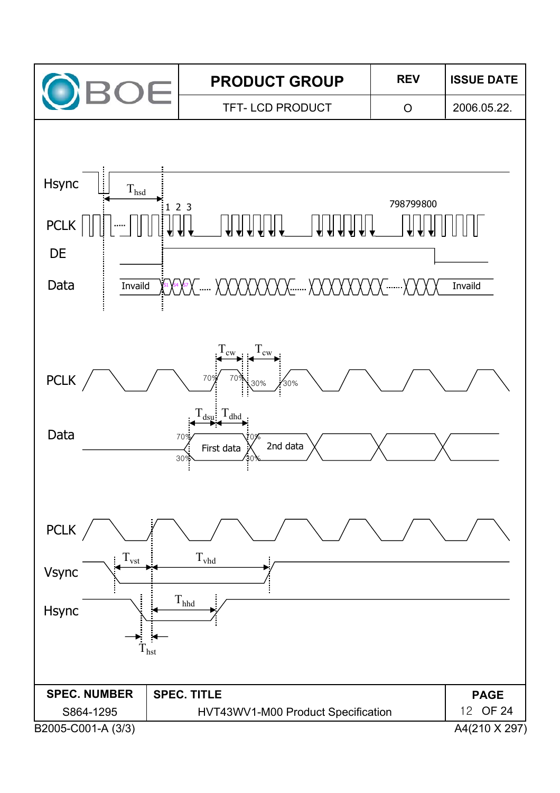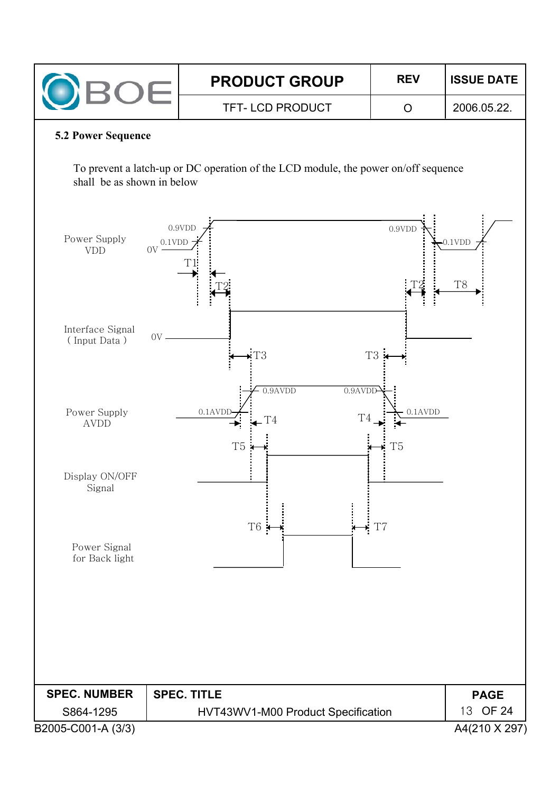| ЭE                               |                        | <b>PRODUCT GROUP</b>                                                               | <b>REV</b>                   | <b>ISSUE DATE</b>           |  |  |
|----------------------------------|------------------------|------------------------------------------------------------------------------------|------------------------------|-----------------------------|--|--|
|                                  |                        | TFT-LCD PRODUCT                                                                    | $\circ$                      | 2006.05.22.                 |  |  |
| <b>5.2 Power Sequence</b>        |                        |                                                                                    |                              |                             |  |  |
| shall be as shown in below       |                        | To prevent a latch-up or DC operation of the LCD module, the power on/off sequence |                              |                             |  |  |
| Power Supply<br><b>VDD</b>       | 0.9VDD<br>0.1VDD<br>0V |                                                                                    | 0.9VDD                       | $0.1$ VDD<br>T <sub>8</sub> |  |  |
| Interface Signal<br>(Input Data) | $\rm OV$               | T <sub>3</sub><br>$0.9$ AVDD<br>$0.9$ AVDD                                         | T <sub>3</sub>               |                             |  |  |
| Power Supply<br><b>AVDD</b>      |                        | $0.1$ AVDI<br>T4<br>T4<br>T <sub>5</sub>                                           | $0.1$ AVDD<br>T <sub>5</sub> |                             |  |  |
| Display ON/OFF<br>Signal         |                        | T <sub>6</sub><br>×                                                                | T <sub>7</sub>               |                             |  |  |
| Power Signal<br>for Back light   |                        |                                                                                    |                              |                             |  |  |
| <b>SPEC. NUMBER</b>              | <b>SPEC. TITLE</b>     |                                                                                    |                              | <b>PAGE</b>                 |  |  |
| S864-1295                        |                        | HVT43WV1-M00 Product Specification                                                 |                              | 13 OF 24                    |  |  |
| B2005-C001-A (3/3)               |                        |                                                                                    |                              | A4(210 X 297)               |  |  |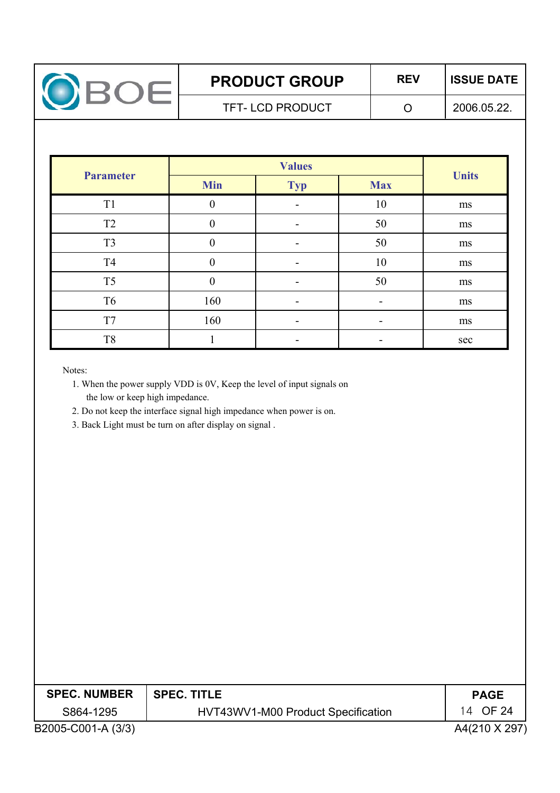

# **PRODUCT GROUP | REV | ISSUE DATE**

TFT-LCD PRODUCT | O

2006.05.22.

| <b>Parameter</b> | <b>Min</b>       | <b>Typ</b> | <b>Max</b> | <b>Units</b> |
|------------------|------------------|------------|------------|--------------|
| T <sub>1</sub>   | $\boldsymbol{0}$ |            | 10         | ms           |
| T <sub>2</sub>   | $\overline{0}$   |            | 50         | ms           |
| T <sub>3</sub>   | $\theta$         |            | 50         | ms           |
| T <sub>4</sub>   | 0                |            | 10         | ms           |
| T <sub>5</sub>   | $\overline{0}$   |            | 50         | ms           |
| T <sub>6</sub>   | 160              |            |            | ms           |
| T7               | 160              |            |            | ms           |
| T <sub>8</sub>   |                  |            |            | sec          |

Notes:

- 1. When the power supply VDD is 0V, Keep the level of input signals on the low or keep high impedance.
- 2. Do not keep the interface signal high impedance when power is on.
- 3. Back Light must be turn on after display on signal .

| <b>SPEC. NUMBER</b> | <b>SPEC. TITLE</b>                 | <b>PAGE</b>   |
|---------------------|------------------------------------|---------------|
| S864-1295           | HVT43WV1-M00 Product Specification | 14 OF 24      |
| B2005-C001-A (3/3)  |                                    | A4(210 X 297) |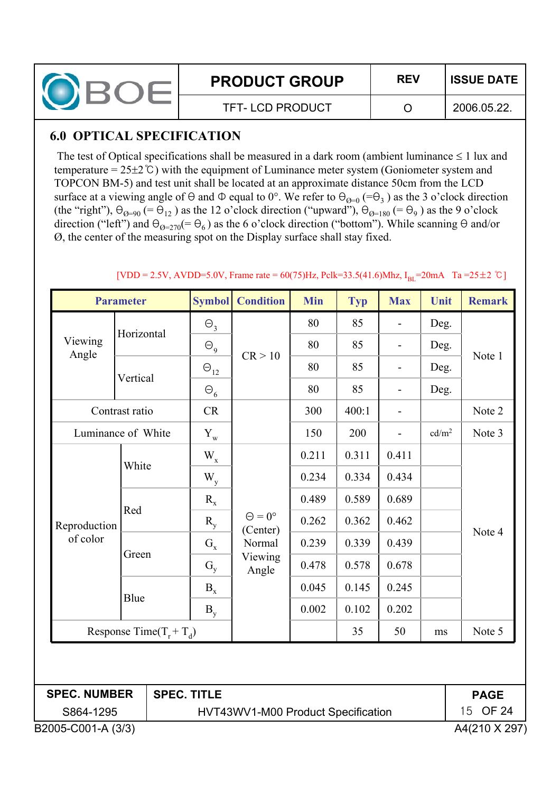| <b>PRODUCT GROUP</b> | <b>REV</b> | <b>ISSUE DATE</b> |
|----------------------|------------|-------------------|
| TFT-LCD PRODUCT      |            | 2006.05.22.       |

### **6.0 OPTICAL SPECIFICATION**

The test of Optical specifications shall be measured in a dark room (ambient luminance  $\leq 1$  lux and temperature =  $25\pm2$ °C) with the equipment of Luminance meter system (Goniometer system and TOPCON BM-5) and test unit shall be located at an approximate distance 50cm from the LCD surface at a viewing angle of  $\Theta$  and  $\Phi$  equal to  $0^{\circ}$ . We refer to  $\Theta_{\Theta=0}$  (= $\Theta_3$ ) as the 3 o'clock direction (the "right"),  $\Theta_{\theta=90}$  (=  $\Theta_{12}$ ) as the 12 o'clock direction ("upward"),  $\Theta_{\theta=180}$  (=  $\Theta_9$ ) as the 9 o'clock direction ("left") and  $\Theta_{\omega=270}(=\Theta_6)$  as the 6 o'clock direction ("bottom"). While scanning  $\Theta$  and/or Ø, the center of the measuring spot on the Display surface shall stay fixed.

|                                                       | <b>Parameter</b> |                    | <b>Symbol</b>                    | <b>Condition</b> | <b>Min</b> | <b>Typ</b> | <b>Max</b>               | Unit              | <b>Remark</b> |
|-------------------------------------------------------|------------------|--------------------|----------------------------------|------------------|------------|------------|--------------------------|-------------------|---------------|
|                                                       | Horizontal       |                    | $\Theta_{3}$                     |                  | 80         | 85         |                          | Deg.              |               |
| Viewing<br>Angle                                      |                  |                    | $\Theta$ <sub>9</sub>            | CR > 10          | 80         | 85         | $\overline{\phantom{0}}$ | Deg.              |               |
|                                                       | Vertical         |                    | $\Theta_{12}$                    |                  | 80         | 85         | $\overline{\phantom{0}}$ | Deg.              | Note 1        |
|                                                       |                  |                    | $\Theta_6$                       |                  | 80         | 85         | $\overline{\phantom{0}}$ | Deg.              |               |
|                                                       | Contrast ratio   |                    | CR                               |                  | 300        | 400:1      | $\overline{\phantom{m}}$ |                   | Note 2        |
| Luminance of White                                    |                  |                    | $Y_{w}$                          |                  | 150        | 200        | $\overline{\phantom{0}}$ | cd/m <sup>2</sup> | Note 3        |
|                                                       |                  |                    | $\mathbf{W}_{\mathbf{x}}$        |                  | 0.211      | 0.311      | 0.411                    |                   |               |
|                                                       |                  | White              | $\mathbf{W}_{\mathbf{y}}$        |                  | 0.234      | 0.334      | 0.434                    |                   |               |
|                                                       | Red              | $R_{x}$            | $\Theta = 0^{\circ}$<br>(Center) | 0.489            | 0.589      | 0.689      |                          |                   |               |
| Reproduction                                          |                  | $R_{y}$            |                                  | 0.262            | 0.362      | 0.462      |                          |                   |               |
| of color                                              |                  | $G_x$              | Normal                           | 0.239            | 0.339      | 0.439      |                          | Note 4            |               |
|                                                       |                  | Green              | $G_y$                            | Viewing<br>Angle | 0.478      | 0.578      | 0.678                    |                   |               |
|                                                       |                  |                    | $\mathbf{B}_{\mathrm{x}}$        |                  | 0.045      | 0.145      | 0.245                    |                   |               |
|                                                       | Blue             |                    | $B_v$                            |                  | 0.002      | 0.102      | 0.202                    |                   |               |
| Response Time( $T_r + T_d$ )                          |                  |                    |                                  |                  | 35         | 50         | ms                       | Note 5            |               |
|                                                       |                  |                    |                                  |                  |            |            |                          |                   |               |
| <b>SPEC. NUMBER</b>                                   |                  | <b>SPEC. TITLE</b> |                                  |                  |            |            |                          |                   | <b>PAGE</b>   |
| 15<br>S864-1295<br>HVT43WV1-M00 Product Specification |                  |                    |                                  |                  | OF 24      |            |                          |                   |               |

#### $[VDD = 2.5V, AVDD = 5.0V, Frame rate = 60(75)Hz, Pclk = 33.5(41.6)Mhz, I<sub>BI</sub> = 20mA$  Ta = 25 ± 2 °C ]

B2005-C001-A (3/3) A4(210 X 297)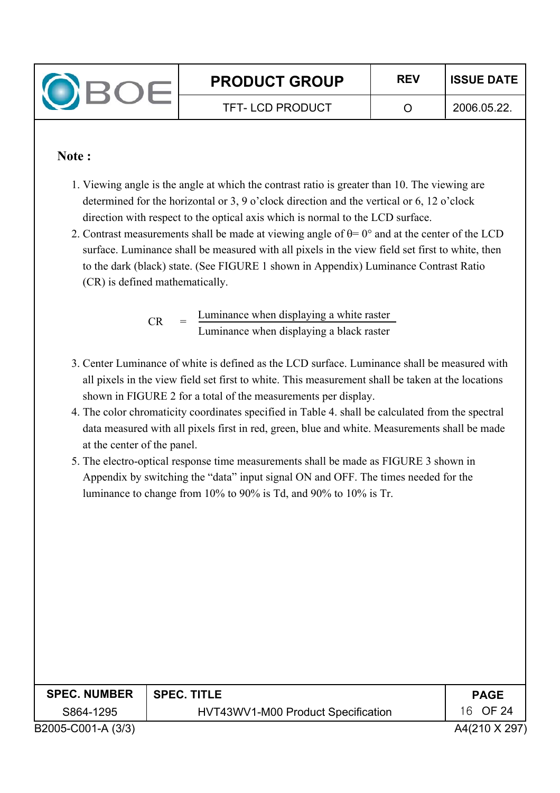

#### **Note :**

- 1. Viewing angle is the angle at which the contrast ratio is greater than 10. The viewing are determined for the horizontal or 3, 9 o'clock direction and the vertical or 6, 12 o'clock direction with respect to the optical axis which is normal to the LCD surface.
- 2. Contrast measurements shall be made at viewing angle of  $\theta$ = 0° and at the center of the LCD surface. Luminance shall be measured with all pixels in the view field set first to white, then to the dark (black) state. (See FIGURE 1 shown in Appendix) Luminance Contrast Ratio (CR) is defined mathematically.

Luminance when displaying a white raster Luminance when displaying a black raster  $CR$ 

- 3. Center Luminance of white is defined as the LCD surface. Luminance shall be measured with all pixels in the view field set first to white. This measurement shall be taken at the locations shown in FIGURE 2 for a total of the measurements per display.
- 4. The color chromaticity coordinates specified in Table 4. shall be calculated from the spectral data measured with all pixels first in red, green, blue and white. Measurements shall be made at the center of the panel.
- 5. The electro-optical response time measurements shall be made as FIGURE 3 shown in Appendix by switching the "data" input signal ON and OFF. The times needed for the luminance to change from 10% to 90% is Td, and 90% to 10% is Tr.

| <b>SPEC. NUMBER</b> | <b>SPEC. TITLE</b>                 | <b>PAGE</b>   |
|---------------------|------------------------------------|---------------|
| S864-1295           | HVT43WV1-M00 Product Specification | 16 OF 24      |
| B2005-C001-A (3/3)  |                                    | A4(210 X 297) |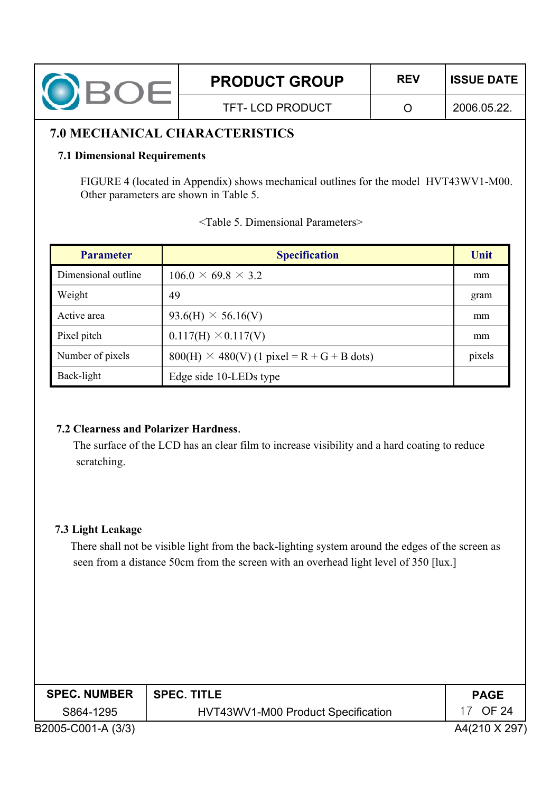| <b>PRODUCT GROUP</b>   | <b>REV</b> | <b>ISSUE DATE</b> |
|------------------------|------------|-------------------|
| <b>TFT-LCD PRODUCT</b> |            | 2006.05.22.       |
|                        |            |                   |

#### **7.0 MECHANICAL CHARACTERISTICS**

#### **7.1 Dimensional Requirements**

FIGURE 4 (located in Appendix) shows mechanical outlines for the model HVT43WV1-M00. Other parameters are shown in Table 5.

| <b>Parameter</b>    | <b>Specification</b>                              | Unit   |
|---------------------|---------------------------------------------------|--------|
| Dimensional outline | $106.0 \times 69.8 \times 3.2$                    | mm     |
| Weight              | 49                                                | gram   |
| Active area         | $93.6(H) \times 56.16(V)$                         | mm     |
| Pixel pitch         | $0.117(H) \times 0.117(V)$                        | mm     |
| Number of pixels    | $800(H) \times 480(V)$ (1 pixel = R + G + B dots) | pixels |
| Back-light          | Edge side 10-LEDs type                            |        |

|  |  | <table 5.="" dimensional="" parameters=""></table> |  |
|--|--|----------------------------------------------------|--|
|  |  |                                                    |  |

#### **7.2 Clearness and Polarizer Hardness**.

The surface of the LCD has an clear film to increase visibility and a hard coating to reduce scratching.

#### **7.3 Light Leakage**

There shall not be visible light from the back-lighting system around the edges of the screen as seen from a distance 50cm from the screen with an overhead light level of 350 [lux.]

| <b>SPEC. NUMBER</b> | ∣ SPEC. TITLE                      | <b>PAGE</b>   |
|---------------------|------------------------------------|---------------|
| S864-1295           | HVT43WV1-M00 Product Specification | OF 24         |
| B2005-C001-A (3/3)  |                                    | A4(210 X 297) |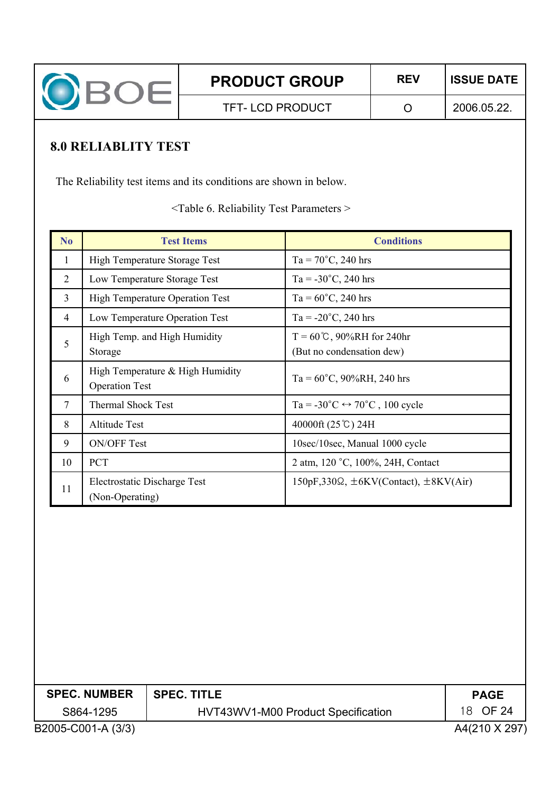

# **8.0 RELIABLITY TEST**

The Reliability test items and its conditions are shown in below.

<Table 6. Reliability Test Parameters >

| N <sub>o</sub> | <b>Test Items</b>                                         | <b>Conditions</b>                                                   |
|----------------|-----------------------------------------------------------|---------------------------------------------------------------------|
| $\mathbf{1}$   | High Temperature Storage Test                             | $Ta = 70^{\circ}C$ , 240 hrs                                        |
| $\overline{2}$ | Low Temperature Storage Test                              | Ta = $-30^{\circ}$ C, 240 hrs                                       |
| $\overline{3}$ | <b>High Temperature Operation Test</b>                    | $Ta = 60^{\circ}C$ , 240 hrs                                        |
| 4              | Low Temperature Operation Test                            | $Ta = -20^{\circ}C$ , 240 hrs                                       |
| 5              | High Temp. and High Humidity<br>Storage                   | $T = 60^{\circ}C$ , 90%RH for 240hr<br>(But no condensation dew)    |
| 6              | High Temperature & High Humidity<br><b>Operation Test</b> | $Ta = 60^{\circ}C$ , 90%RH, 240 hrs                                 |
| $\overline{7}$ | <b>Thermal Shock Test</b>                                 | Ta = $-30^{\circ}$ C $\leftrightarrow$ 70 <sup>°</sup> C, 100 cycle |
| 8              | <b>Altitude Test</b>                                      | 40000ft (25℃) 24H                                                   |
| 9              | <b>ON/OFF Test</b>                                        | 10sec/10sec, Manual 1000 cycle                                      |
| 10             | <b>PCT</b>                                                | 2 atm, 120 °C, 100%, 24H, Contact                                   |
| 11             | Electrostatic Discharge Test<br>(Non-Operating)           | $150pF,330\Omega$ , $\pm 6KV$ (Contact), $\pm 8KV(Air)$             |

|                    | <b>SPEC. NUMBER</b> | <b>SPEC. TITLE</b>                 | <b>PAGE</b>  |
|--------------------|---------------------|------------------------------------|--------------|
|                    | S864-1295           | HVT43WV1-M00 Product Specification | 18 OF 24     |
| B2005-C001-A (3/3) |                     |                                    | A4(210 X 297 |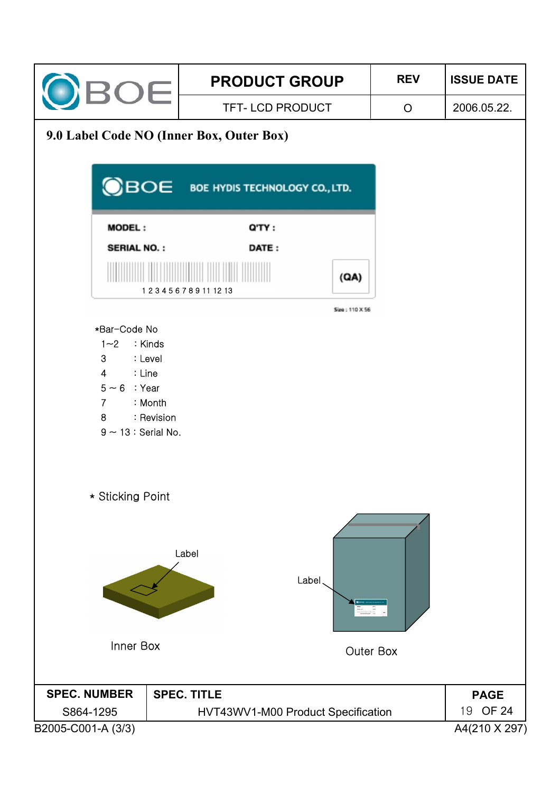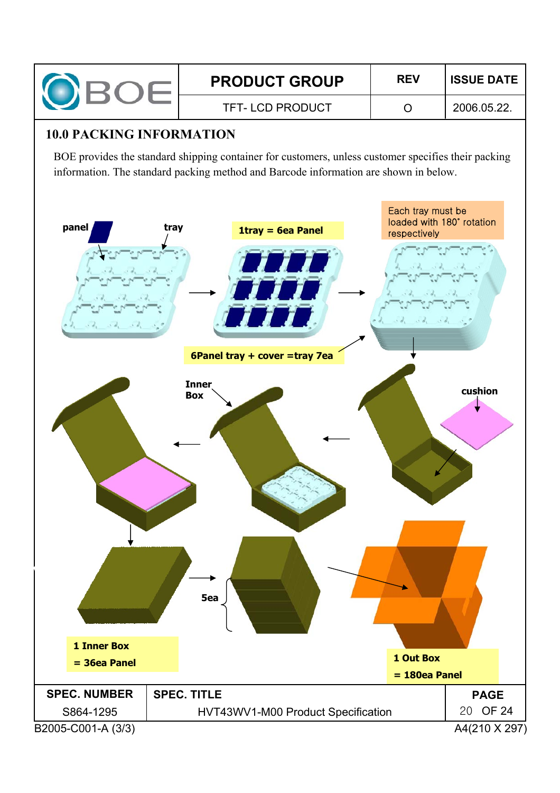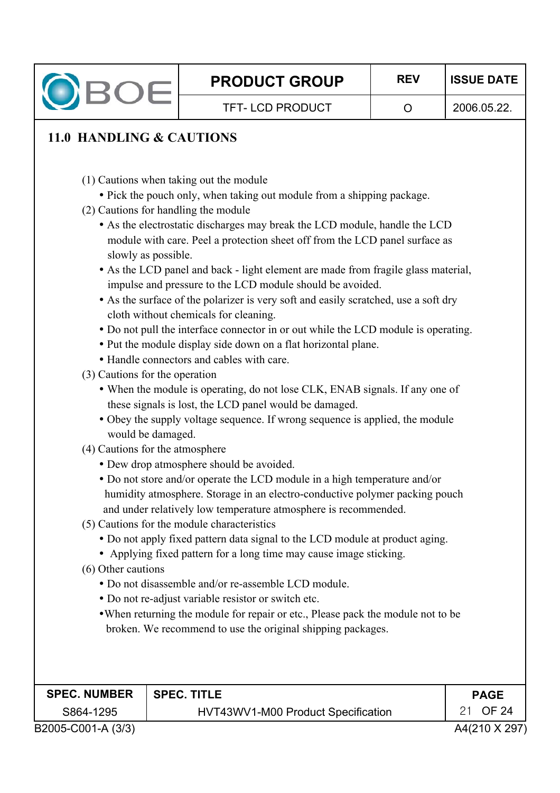

# **11.0 HANDLING & CAUTIONS**

- (1) Cautions when taking out the module
- Pick the pouch only, when taking out module from a shipping package.
- (2) Cautions for handling the module
	- As the electrostatic discharges may break the LCD module, handle the LCD module with care. Peel a protection sheet off from the LCD panel surface as slowly as possible.
	- As the LCD panel and back light element are made from fragile glass material, impulse and pressure to the LCD module should be avoided.
	- As the surface of the polarizer is very soft and easily scratched, use a soft dry cloth without chemicals for cleaning.
	- Do not pull the interface connector in or out while the LCD module is operating.
	- Put the module display side down on a flat horizontal plane.
	- Handle connectors and cables with care.
- (3) Cautions for the operation
	- When the module is operating, do not lose CLK, ENAB signals. If any one of these signals is lost, the LCD panel would be damaged.
	- Obey the supply voltage sequence. If wrong sequence is applied, the module would be damaged.
- (4) Cautions for the atmosphere
	- Dew drop atmosphere should be avoided.
	- Do not store and/or operate the LCD module in a high temperature and/or humidity atmosphere. Storage in an electro-conductive polymer packing pouch and under relatively low temperature atmosphere is recommended.
- (5) Cautions for the module characteristics
	- Do not apply fixed pattern data signal to the LCD module at product aging.
	- Applying fixed pattern for a long time may cause image sticking.
- (6) Other cautions
	- Do not disassemble and/or re-assemble LCD module.
	- Do not re-adjust variable resistor or switch etc.
	- When returning the module for repair or etc., Please pack the module not to be broken. We recommend to use the original shipping packages.

| <b>SPEC. NUMBER</b> | <b>SPEC. TITLE</b>                 | <b>PAGE</b>   |
|---------------------|------------------------------------|---------------|
| S864-1295           | HVT43WV1-M00 Product Specification | 21 OF 24      |
| B2005-C001-A (3/3)  |                                    | A4(210 X 297) |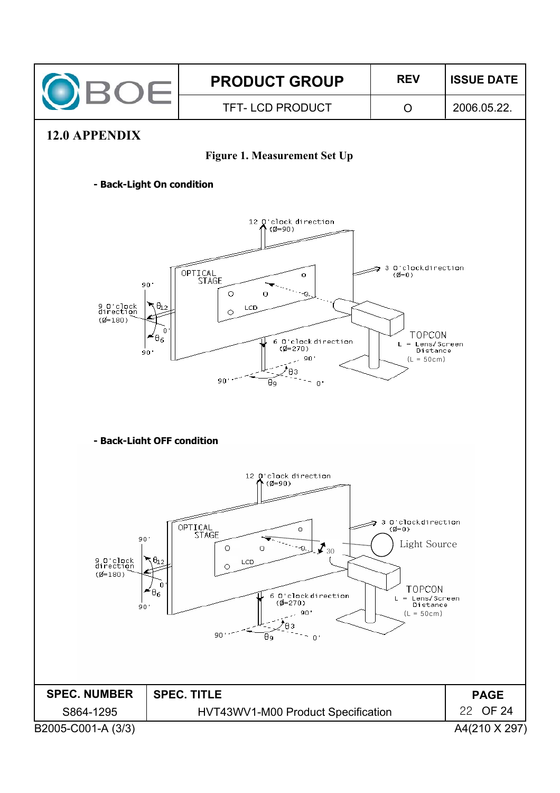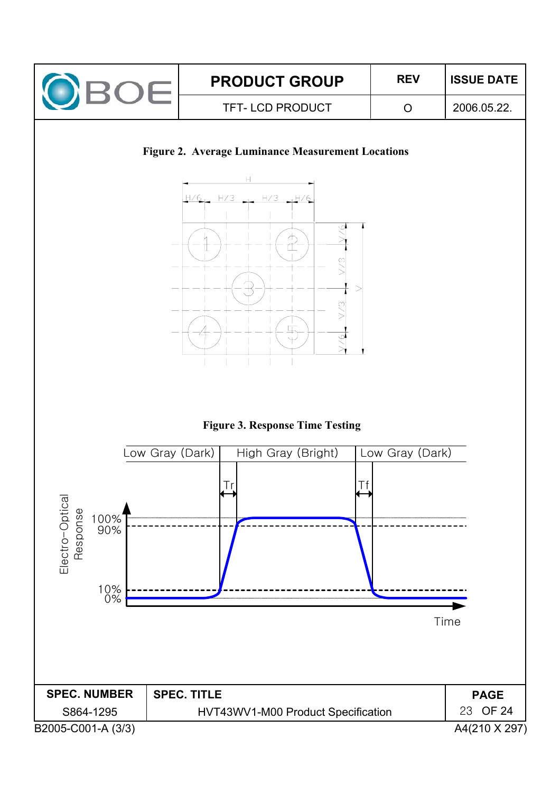